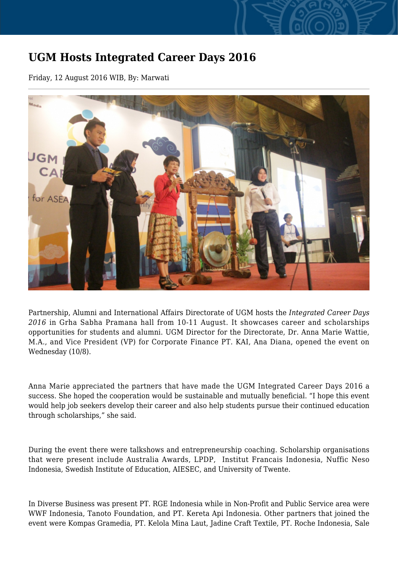## **UGM Hosts Integrated Career Days 2016**

Friday, 12 August 2016 WIB, By: Marwati



Partnership, Alumni and International Affairs Directorate of UGM hosts the *Integrated Career Days 2016* in Grha Sabha Pramana hall from 10-11 August. It showcases career and scholarships opportunities for students and alumni. UGM Director for the Directorate, Dr. Anna Marie Wattie, M.A., and Vice President (VP) for Corporate Finance PT. KAI, Ana Diana, opened the event on Wednesday (10/8).

Anna Marie appreciated the partners that have made the UGM Integrated Career Days 2016 a success. She hoped the cooperation would be sustainable and mutually beneficial. "I hope this event would help job seekers develop their career and also help students pursue their continued education through scholarships," she said.

During the event there were talkshows and entrepreneurship coaching. Scholarship organisations that were present include Australia Awards, LPDP, Institut Francais Indonesia, Nuffic Neso Indonesia, Swedish Institute of Education, AIESEC, and University of Twente.

In Diverse Business was present PT. RGE Indonesia while in Non-Profit and Public Service area were WWF Indonesia, Tanoto Foundation, and PT. Kereta Api Indonesia. Other partners that joined the event were Kompas Gramedia, PT. Kelola Mina Laut, Jadine Craft Textile, PT. Roche Indonesia, Sale